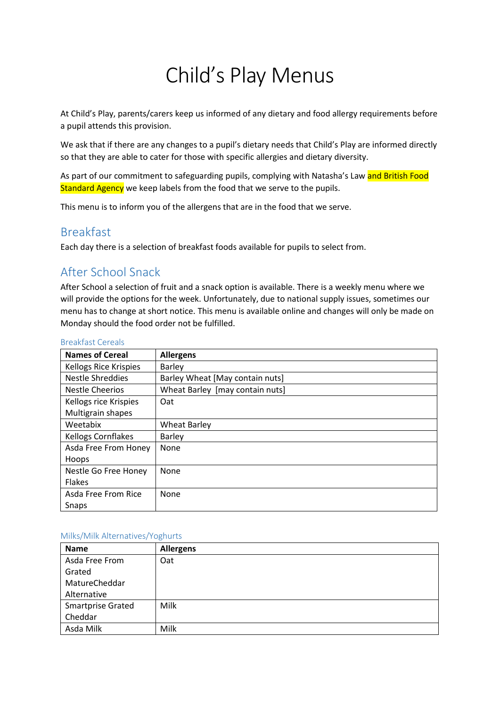# Child's Play Menus

At Child's Play, parents/carers keep us informed of any dietary and food allergy requirements before a pupil attends this provision.

We ask that if there are any changes to a pupil's dietary needs that Child's Play are informed directly so that they are able to cater for those with specific allergies and dietary diversity.

As part of our commitment to safeguarding pupils, complying with Natasha's Law and British Food Standard Agency we keep labels from the food that we serve to the pupils.

This menu is to inform you of the allergens that are in the food that we serve.

## Breakfast

Each day there is a selection of breakfast foods available for pupils to select from.

## After School Snack

After School a selection of fruit and a snack option is available. There is a weekly menu where we will provide the options for the week. Unfortunately, due to national supply issues, sometimes our menu has to change at short notice. This menu is available online and changes will only be made on Monday should the food order not be fulfilled.

| <b>Names of Cereal</b>       | <b>Allergens</b>                |
|------------------------------|---------------------------------|
| <b>Kellogs Rice Krispies</b> | <b>Barley</b>                   |
| <b>Nestle Shreddies</b>      | Barley Wheat [May contain nuts] |
| <b>Nestle Cheerios</b>       | Wheat Barley [may contain nuts] |
| Kellogs rice Krispies        | Oat                             |
| Multigrain shapes            |                                 |
| Weetabix                     | <b>Wheat Barley</b>             |
| <b>Kellogs Cornflakes</b>    | <b>Barley</b>                   |
| Asda Free From Honey         | None                            |
| Hoops                        |                                 |
| Nestle Go Free Honey         | None                            |
| <b>Flakes</b>                |                                 |
| Asda Free From Rice          | None                            |
| Snaps                        |                                 |

#### Breakfast Cereals

#### Milks/Milk Alternatives/Yoghurts

| <b>Name</b>              | <b>Allergens</b> |
|--------------------------|------------------|
| Asda Free From           | Oat              |
| Grated                   |                  |
| MatureCheddar            |                  |
| Alternative              |                  |
| <b>Smartprise Grated</b> | Milk             |
| Cheddar                  |                  |
| Asda Milk                | Milk             |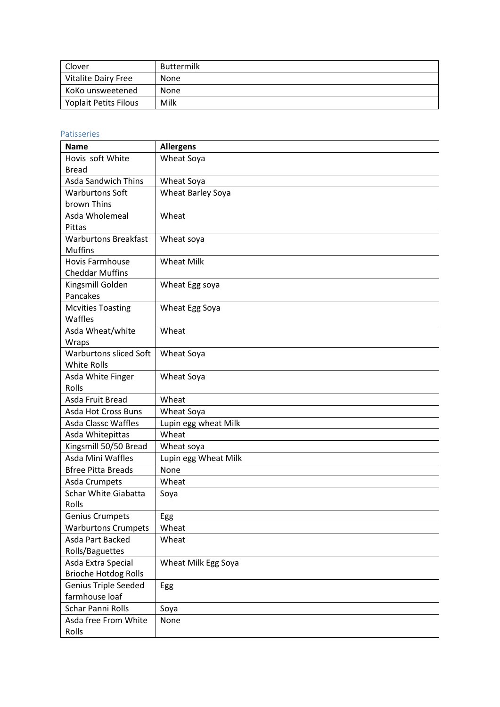| Clover                     | <b>Buttermilk</b> |
|----------------------------|-------------------|
| <b>Vitalite Dairy Free</b> | None              |
| KoKo unsweetened           | <b>None</b>       |
| Yoplait Petits Filous      | Milk              |

## Patisseries

| <b>Name</b>                   | <b>Allergens</b>     |
|-------------------------------|----------------------|
| Hovis soft White              | Wheat Soya           |
| <b>Bread</b>                  |                      |
| <b>Asda Sandwich Thins</b>    | Wheat Soya           |
| <b>Warburtons Soft</b>        | Wheat Barley Soya    |
| brown Thins                   |                      |
| Asda Wholemeal                | Wheat                |
| Pittas                        |                      |
| <b>Warburtons Breakfast</b>   | Wheat soya           |
| <b>Muffins</b>                |                      |
| <b>Hovis Farmhouse</b>        | <b>Wheat Milk</b>    |
| <b>Cheddar Muffins</b>        |                      |
| Kingsmill Golden              | Wheat Egg soya       |
| Pancakes                      |                      |
| <b>Mcvities Toasting</b>      | Wheat Egg Soya       |
| Waffles                       |                      |
| Asda Wheat/white              | Wheat                |
| Wraps                         |                      |
| <b>Warburtons sliced Soft</b> | Wheat Soya           |
| <b>White Rolls</b>            |                      |
| Asda White Finger             | Wheat Soya           |
| Rolls                         |                      |
| Asda Fruit Bread              | Wheat                |
| Asda Hot Cross Buns           | Wheat Soya           |
| <b>Asda Classc Waffles</b>    | Lupin egg wheat Milk |
| Asda Whitepittas              | Wheat                |
| Kingsmill 50/50 Bread         | Wheat soya           |
| Asda Mini Waffles             | Lupin egg Wheat Milk |
| <b>Bfree Pitta Breads</b>     | None                 |
| Asda Crumpets                 | Wheat                |
| <b>Schar White Giabatta</b>   | Soya                 |
| Rolls                         |                      |
| <b>Genius Crumpets</b>        | Egg                  |
| <b>Warburtons Crumpets</b>    | Wheat                |
| Asda Part Backed              | Wheat                |
| Rolls/Baguettes               |                      |
| Asda Extra Special            | Wheat Milk Egg Soya  |
| <b>Brioche Hotdog Rolls</b>   |                      |
| <b>Genius Triple Seeded</b>   | Egg                  |
| farmhouse loaf                |                      |
| Schar Panni Rolls             | Soya                 |
| Asda free From White          | None                 |
| Rolls                         |                      |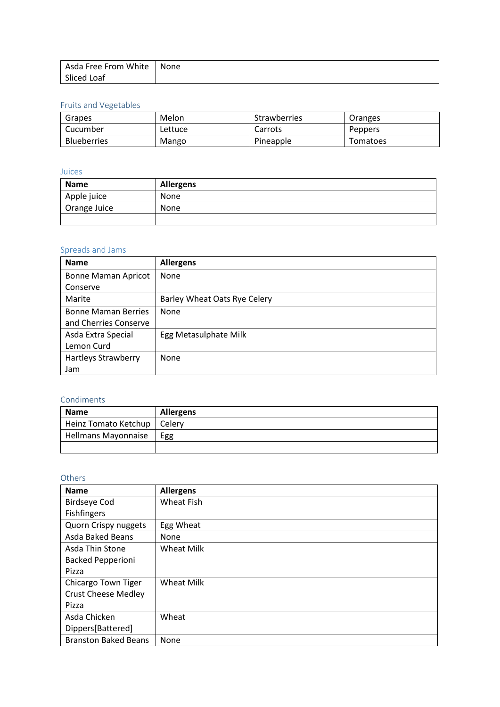| Asda Free From White   None |  |
|-----------------------------|--|
| Sliced Loaf                 |  |

## Fruits and Vegetables

| Grapes             | Melon   | Strawberries | Oranges        |
|--------------------|---------|--------------|----------------|
| Cucumber           | Lettuce | Carrots      | <b>Peppers</b> |
| <b>Blueberries</b> | Mango   | Pineapple    | Tomatoes       |

## Juices

| <b>Name</b>  | <b>Allergens</b> |  |  |  |
|--------------|------------------|--|--|--|
| Apple juice  | None             |  |  |  |
| Orange Juice | None             |  |  |  |
|              |                  |  |  |  |

## Spreads and Jams

| <b>Name</b>                | <b>Allergens</b>             |
|----------------------------|------------------------------|
| <b>Bonne Maman Apricot</b> | None                         |
| Conserve                   |                              |
| Marite                     | Barley Wheat Oats Rye Celery |
| <b>Bonne Maman Berries</b> | None                         |
| and Cherries Conserve      |                              |
| Asda Extra Special         | Egg Metasulphate Milk        |
| Lemon Curd                 |                              |
| <b>Hartleys Strawberry</b> | None                         |
| Jam                        |                              |

### Condiments

| <b>Name</b>                   | <b>Allergens</b> |
|-------------------------------|------------------|
| Heinz Tomato Ketchup   Celery |                  |
| <b>Hellmans Mayonnaise</b>    | Egg              |
|                               |                  |

## Others

| <b>Name</b>                 | <b>Allergens</b>  |
|-----------------------------|-------------------|
| <b>Birdseye Cod</b>         | <b>Wheat Fish</b> |
| Fishfingers                 |                   |
| Quorn Crispy nuggets        | Egg Wheat         |
| Asda Baked Beans            | None              |
| Asda Thin Stone             | <b>Wheat Milk</b> |
| <b>Backed Pepperioni</b>    |                   |
| Pizza                       |                   |
| Chicargo Town Tiger         | <b>Wheat Milk</b> |
| <b>Crust Cheese Medley</b>  |                   |
| Pizza                       |                   |
| Asda Chicken                | Wheat             |
| Dippers[Battered]           |                   |
| <b>Branston Baked Beans</b> | None              |